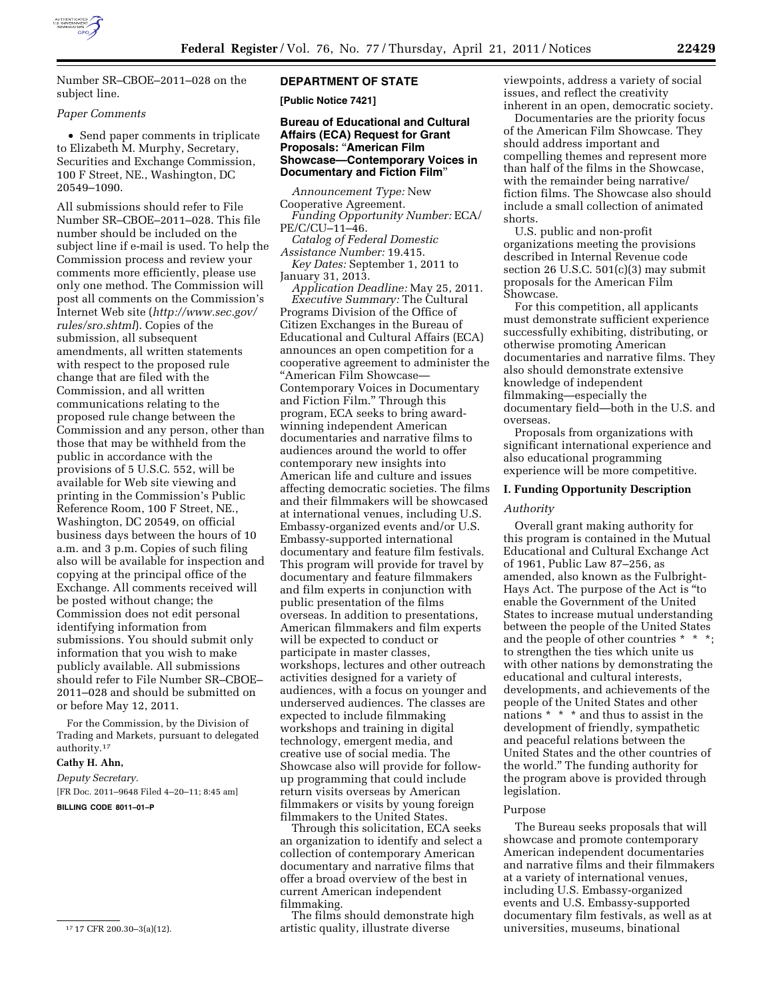

Number SR–CBOE–2011–028 on the subject line.

### *Paper Comments*

• Send paper comments in triplicate to Elizabeth M. Murphy, Secretary, Securities and Exchange Commission, 100 F Street, NE., Washington, DC 20549–1090.

All submissions should refer to File Number SR–CBOE–2011–028. This file number should be included on the subject line if e-mail is used. To help the Commission process and review your comments more efficiently, please use only one method. The Commission will post all comments on the Commission's Internet Web site (*[http://www.sec.gov/](http://www.sec.gov/rules/sro.shtml)  [rules/sro.shtml](http://www.sec.gov/rules/sro.shtml)*). Copies of the submission, all subsequent amendments, all written statements with respect to the proposed rule change that are filed with the Commission, and all written communications relating to the proposed rule change between the Commission and any person, other than those that may be withheld from the public in accordance with the provisions of 5 U.S.C. 552, will be available for Web site viewing and printing in the Commission's Public Reference Room, 100 F Street, NE., Washington, DC 20549, on official business days between the hours of 10 a.m. and 3 p.m. Copies of such filing also will be available for inspection and copying at the principal office of the Exchange. All comments received will be posted without change; the Commission does not edit personal identifying information from submissions. You should submit only information that you wish to make publicly available. All submissions should refer to File Number SR–CBOE– 2011–028 and should be submitted on or before May 12, 2011.

For the Commission, by the Division of Trading and Markets, pursuant to delegated authority.17

# **Cathy H. Ahn,**

*Deputy Secretary.*  [FR Doc. 2011–9648 Filed 4–20–11; 8:45 am] **BILLING CODE 8011–01–P** 

### **DEPARTMENT OF STATE**

**[Public Notice 7421]** 

## **Bureau of Educational and Cultural Affairs (ECA) Request for Grant Proposals:** ''**American Film Showcase—Contemporary Voices in Documentary and Fiction Film**''

*Announcement Type:* New Cooperative Agreement. *Funding Opportunity Number:* ECA/ PE/C/CU–11–46.

*Catalog of Federal Domestic Assistance Number:* 19.415. *Key Dates:* September 1, 2011 to January 31, 2013.

*Application Deadline:* May 25, 2011. *Executive Summary:* The Cultural Programs Division of the Office of Citizen Exchanges in the Bureau of Educational and Cultural Affairs (ECA) announces an open competition for a cooperative agreement to administer the ''American Film Showcase— Contemporary Voices in Documentary and Fiction Film.'' Through this program, ECA seeks to bring awardwinning independent American documentaries and narrative films to audiences around the world to offer contemporary new insights into American life and culture and issues affecting democratic societies. The films and their filmmakers will be showcased at international venues, including U.S. Embassy-organized events and/or U.S. Embassy-supported international documentary and feature film festivals. This program will provide for travel by documentary and feature filmmakers and film experts in conjunction with public presentation of the films overseas. In addition to presentations, American filmmakers and film experts will be expected to conduct or participate in master classes, workshops, lectures and other outreach activities designed for a variety of audiences, with a focus on younger and underserved audiences. The classes are expected to include filmmaking workshops and training in digital technology, emergent media, and creative use of social media. The Showcase also will provide for followup programming that could include return visits overseas by American filmmakers or visits by young foreign filmmakers to the United States.

Through this solicitation, ECA seeks an organization to identify and select a collection of contemporary American documentary and narrative films that offer a broad overview of the best in current American independent filmmaking.

The films should demonstrate high artistic quality, illustrate diverse

viewpoints, address a variety of social issues, and reflect the creativity inherent in an open, democratic society.

Documentaries are the priority focus of the American Film Showcase. They should address important and compelling themes and represent more than half of the films in the Showcase, with the remainder being narrative/ fiction films. The Showcase also should include a small collection of animated shorts.

U.S. public and non-profit organizations meeting the provisions described in Internal Revenue code section 26 U.S.C.  $501(c)(3)$  may submit proposals for the American Film Showcase.

For this competition, all applicants must demonstrate sufficient experience successfully exhibiting, distributing, or otherwise promoting American documentaries and narrative films. They also should demonstrate extensive knowledge of independent filmmaking—especially the documentary field—both in the U.S. and overseas.

Proposals from organizations with significant international experience and also educational programming experience will be more competitive.

#### **I. Funding Opportunity Description**

#### *Authority*

Overall grant making authority for this program is contained in the Mutual Educational and Cultural Exchange Act of 1961, Public Law 87–256, as amended, also known as the Fulbright-Hays Act. The purpose of the Act is ''to enable the Government of the United States to increase mutual understanding between the people of the United States and the people of other countries \* \* \*; to strengthen the ties which unite us with other nations by demonstrating the educational and cultural interests, developments, and achievements of the people of the United States and other nations \* \* \* and thus to assist in the development of friendly, sympathetic and peaceful relations between the United States and the other countries of the world.'' The funding authority for the program above is provided through legislation.

## Purpose

The Bureau seeks proposals that will showcase and promote contemporary American independent documentaries and narrative films and their filmmakers at a variety of international venues, including U.S. Embassy-organized events and U.S. Embassy-supported documentary film festivals, as well as at universities, museums, binational

<sup>17</sup> 17 CFR 200.30–3(a)(12).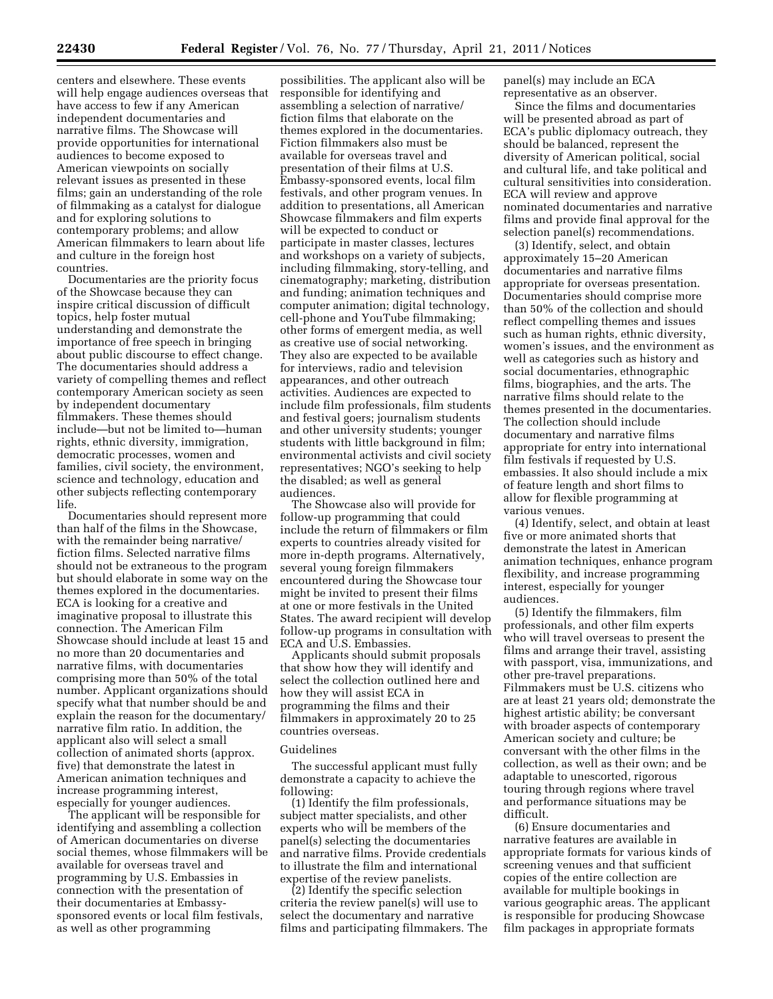centers and elsewhere. These events will help engage audiences overseas that have access to few if any American independent documentaries and narrative films. The Showcase will provide opportunities for international audiences to become exposed to American viewpoints on socially relevant issues as presented in these films; gain an understanding of the role of filmmaking as a catalyst for dialogue and for exploring solutions to contemporary problems; and allow American filmmakers to learn about life and culture in the foreign host countries.

Documentaries are the priority focus of the Showcase because they can inspire critical discussion of difficult topics, help foster mutual understanding and demonstrate the importance of free speech in bringing about public discourse to effect change. The documentaries should address a variety of compelling themes and reflect contemporary American society as seen by independent documentary filmmakers. These themes should include—but not be limited to—human rights, ethnic diversity, immigration, democratic processes, women and families, civil society, the environment, science and technology, education and other subjects reflecting contemporary life.

Documentaries should represent more than half of the films in the Showcase, with the remainder being narrative/ fiction films. Selected narrative films should not be extraneous to the program but should elaborate in some way on the themes explored in the documentaries. ECA is looking for a creative and imaginative proposal to illustrate this connection. The American Film Showcase should include at least 15 and no more than 20 documentaries and narrative films, with documentaries comprising more than 50% of the total number. Applicant organizations should specify what that number should be and explain the reason for the documentary/ narrative film ratio. In addition, the applicant also will select a small collection of animated shorts (approx. five) that demonstrate the latest in American animation techniques and increase programming interest, especially for younger audiences.

The applicant will be responsible for identifying and assembling a collection of American documentaries on diverse social themes, whose filmmakers will be available for overseas travel and programming by U.S. Embassies in connection with the presentation of their documentaries at Embassysponsored events or local film festivals, as well as other programming

possibilities. The applicant also will be responsible for identifying and assembling a selection of narrative/ fiction films that elaborate on the themes explored in the documentaries. Fiction filmmakers also must be available for overseas travel and presentation of their films at U.S. Embassy-sponsored events, local film festivals, and other program venues. In addition to presentations, all American Showcase filmmakers and film experts will be expected to conduct or participate in master classes, lectures and workshops on a variety of subjects, including filmmaking, story-telling, and cinematography; marketing, distribution and funding; animation techniques and computer animation; digital technology, cell-phone and YouTube filmmaking; other forms of emergent media, as well as creative use of social networking. They also are expected to be available for interviews, radio and television appearances, and other outreach activities. Audiences are expected to include film professionals, film students and festival goers; journalism students and other university students; younger students with little background in film; environmental activists and civil society representatives; NGO's seeking to help the disabled; as well as general audiences.

The Showcase also will provide for follow-up programming that could include the return of filmmakers or film experts to countries already visited for more in-depth programs. Alternatively, several young foreign filmmakers encountered during the Showcase tour might be invited to present their films at one or more festivals in the United States. The award recipient will develop follow-up programs in consultation with ECA and U.S. Embassies.

Applicants should submit proposals that show how they will identify and select the collection outlined here and how they will assist ECA in programming the films and their filmmakers in approximately 20 to 25 countries overseas.

#### Guidelines

The successful applicant must fully demonstrate a capacity to achieve the following:

(1) Identify the film professionals, subject matter specialists, and other experts who will be members of the panel(s) selecting the documentaries and narrative films. Provide credentials to illustrate the film and international expertise of the review panelists.

(2) Identify the specific selection criteria the review panel(s) will use to select the documentary and narrative films and participating filmmakers. The panel(s) may include an ECA representative as an observer.

Since the films and documentaries will be presented abroad as part of ECA's public diplomacy outreach, they should be balanced, represent the diversity of American political, social and cultural life, and take political and cultural sensitivities into consideration. ECA will review and approve nominated documentaries and narrative films and provide final approval for the selection panel(s) recommendations.

(3) Identify, select, and obtain approximately 15–20 American documentaries and narrative films appropriate for overseas presentation. Documentaries should comprise more than 50% of the collection and should reflect compelling themes and issues such as human rights, ethnic diversity, women's issues, and the environment as well as categories such as history and social documentaries, ethnographic films, biographies, and the arts. The narrative films should relate to the themes presented in the documentaries. The collection should include documentary and narrative films appropriate for entry into international film festivals if requested by U.S. embassies. It also should include a mix of feature length and short films to allow for flexible programming at various venues.

(4) Identify, select, and obtain at least five or more animated shorts that demonstrate the latest in American animation techniques, enhance program flexibility, and increase programming interest, especially for younger audiences.

(5) Identify the filmmakers, film professionals, and other film experts who will travel overseas to present the films and arrange their travel, assisting with passport, visa, immunizations, and other pre-travel preparations. Filmmakers must be U.S. citizens who are at least 21 years old; demonstrate the highest artistic ability; be conversant with broader aspects of contemporary American society and culture; be conversant with the other films in the collection, as well as their own; and be adaptable to unescorted, rigorous touring through regions where travel and performance situations may be difficult.

(6) Ensure documentaries and narrative features are available in appropriate formats for various kinds of screening venues and that sufficient copies of the entire collection are available for multiple bookings in various geographic areas. The applicant is responsible for producing Showcase film packages in appropriate formats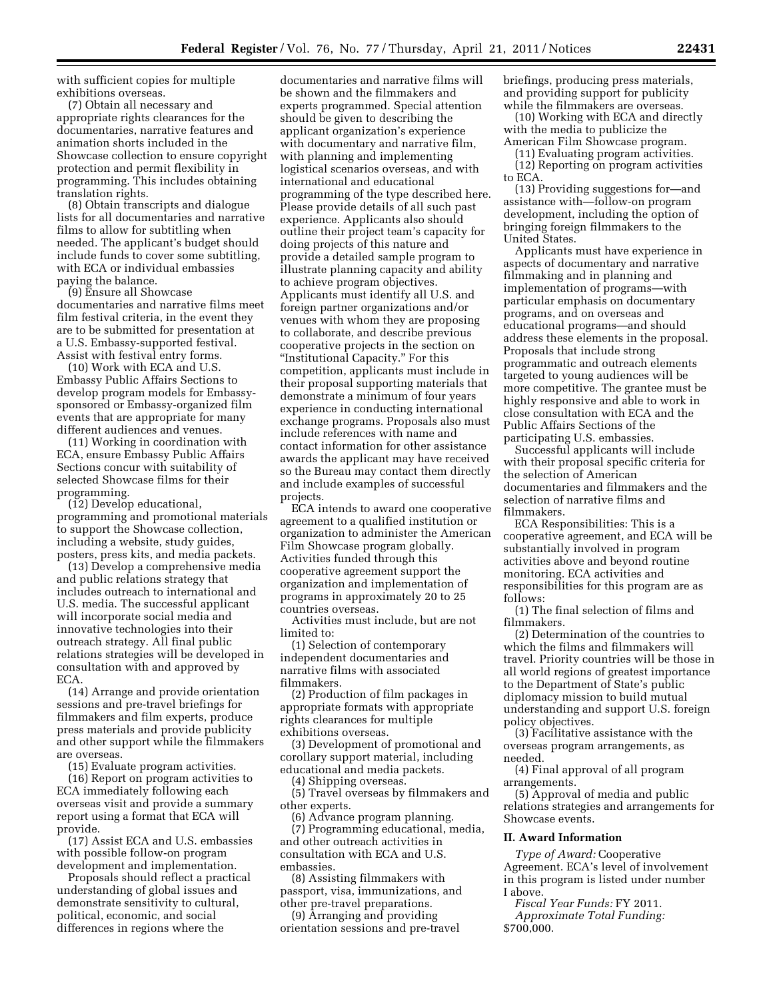with sufficient copies for multiple exhibitions overseas.

(7) Obtain all necessary and appropriate rights clearances for the documentaries, narrative features and animation shorts included in the Showcase collection to ensure copyright protection and permit flexibility in programming. This includes obtaining translation rights.

(8) Obtain transcripts and dialogue lists for all documentaries and narrative films to allow for subtitling when needed. The applicant's budget should include funds to cover some subtitling, with ECA or individual embassies paying the balance.

(9) Ensure all Showcase documentaries and narrative films meet film festival criteria, in the event they are to be submitted for presentation at a U.S. Embassy-supported festival. Assist with festival entry forms.

(10) Work with ECA and U.S. Embassy Public Affairs Sections to develop program models for Embassysponsored or Embassy-organized film events that are appropriate for many different audiences and venues.

(11) Working in coordination with ECA, ensure Embassy Public Affairs Sections concur with suitability of selected Showcase films for their programming.

(12) Develop educational, programming and promotional materials to support the Showcase collection, including a website, study guides, posters, press kits, and media packets.

(13) Develop a comprehensive media and public relations strategy that includes outreach to international and U.S. media. The successful applicant will incorporate social media and innovative technologies into their outreach strategy. All final public relations strategies will be developed in consultation with and approved by ECA.

(14) Arrange and provide orientation sessions and pre-travel briefings for filmmakers and film experts, produce press materials and provide publicity and other support while the filmmakers are overseas.

(15) Evaluate program activities.

(16) Report on program activities to ECA immediately following each overseas visit and provide a summary report using a format that ECA will provide.

(17) Assist ECA and U.S. embassies with possible follow-on program development and implementation.

Proposals should reflect a practical understanding of global issues and demonstrate sensitivity to cultural, political, economic, and social differences in regions where the

documentaries and narrative films will be shown and the filmmakers and experts programmed. Special attention should be given to describing the applicant organization's experience with documentary and narrative film, with planning and implementing logistical scenarios overseas, and with international and educational programming of the type described here. Please provide details of all such past experience. Applicants also should outline their project team's capacity for doing projects of this nature and provide a detailed sample program to illustrate planning capacity and ability to achieve program objectives. Applicants must identify all U.S. and foreign partner organizations and/or venues with whom they are proposing to collaborate, and describe previous cooperative projects in the section on ''Institutional Capacity.'' For this competition, applicants must include in their proposal supporting materials that demonstrate a minimum of four years experience in conducting international exchange programs. Proposals also must include references with name and contact information for other assistance awards the applicant may have received so the Bureau may contact them directly and include examples of successful projects.

ECA intends to award one cooperative agreement to a qualified institution or organization to administer the American Film Showcase program globally. Activities funded through this cooperative agreement support the organization and implementation of programs in approximately 20 to 25 countries overseas.

Activities must include, but are not limited to:

(1) Selection of contemporary independent documentaries and narrative films with associated filmmakers.

(2) Production of film packages in appropriate formats with appropriate rights clearances for multiple exhibitions overseas.

(3) Development of promotional and corollary support material, including educational and media packets.

(4) Shipping overseas.

(5) Travel overseas by filmmakers and other experts.

(6) Advance program planning. (7) Programming educational, media, and other outreach activities in consultation with ECA and U.S. embassies.

(8) Assisting filmmakers with passport, visa, immunizations, and other pre-travel preparations.

(9) Arranging and providing orientation sessions and pre-travel briefings, producing press materials, and providing support for publicity while the filmmakers are overseas.

(10) Working with ECA and directly with the media to publicize the American Film Showcase program.

(11) Evaluating program activities. (12) Reporting on program activities to ECA.

(13) Providing suggestions for—and assistance with—follow-on program development, including the option of bringing foreign filmmakers to the United States.

Applicants must have experience in aspects of documentary and narrative filmmaking and in planning and implementation of programs—with particular emphasis on documentary programs, and on overseas and educational programs—and should address these elements in the proposal. Proposals that include strong programmatic and outreach elements targeted to young audiences will be more competitive. The grantee must be highly responsive and able to work in close consultation with ECA and the Public Affairs Sections of the participating U.S. embassies.

Successful applicants will include with their proposal specific criteria for the selection of American documentaries and filmmakers and the selection of narrative films and filmmakers.

ECA Responsibilities: This is a cooperative agreement, and ECA will be substantially involved in program activities above and beyond routine monitoring. ECA activities and responsibilities for this program are as follows:

(1) The final selection of films and filmmakers.

(2) Determination of the countries to which the films and filmmakers will travel. Priority countries will be those in all world regions of greatest importance to the Department of State's public diplomacy mission to build mutual understanding and support U.S. foreign policy objectives.

(3) Facilitative assistance with the overseas program arrangements, as needed.

(4) Final approval of all program arrangements.

(5) Approval of media and public relations strategies and arrangements for Showcase events.

### **II. Award Information**

*Type of Award:* Cooperative Agreement. ECA's level of involvement in this program is listed under number I above.

*Fiscal Year Funds:* FY 2011. *Approximate Total Funding:* 

\$700,000.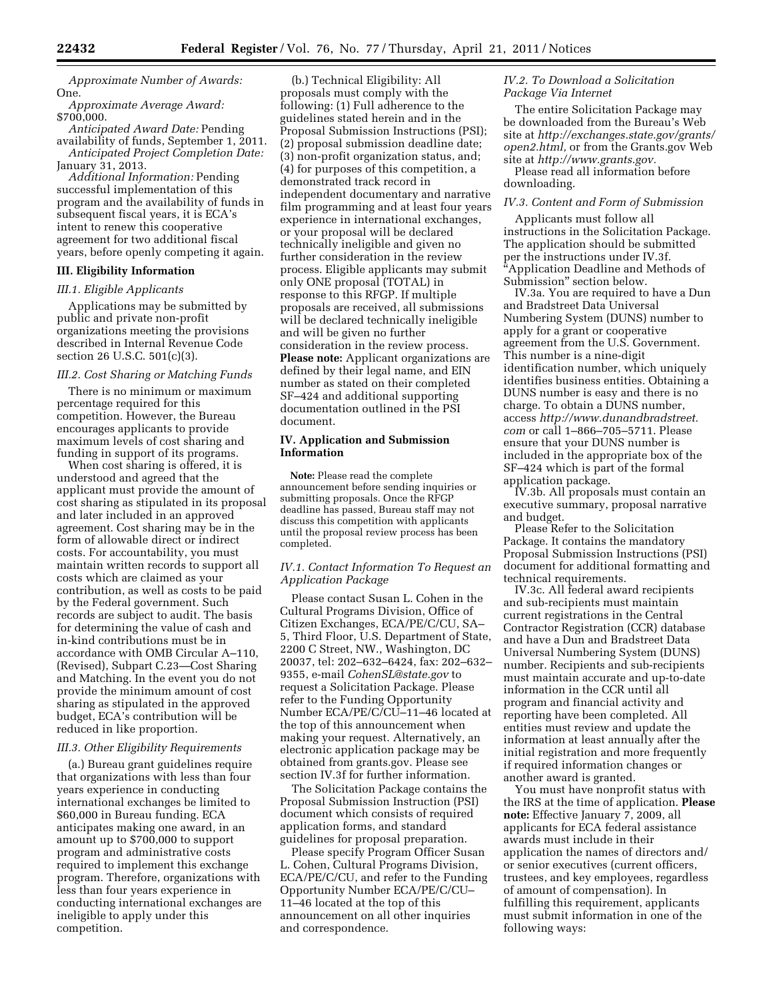*Approximate Number of Awards:*  One.

*Approximate Average Award:*  \$700,000.

*Anticipated Award Date:* Pending availability of funds, September 1, 2011. *Anticipated Project Completion Date:* 

January 31, 2013.

*Additional Information:* Pending successful implementation of this program and the availability of funds in subsequent fiscal years, it is ECA's intent to renew this cooperative agreement for two additional fiscal years, before openly competing it again.

## **III. Eligibility Information**

*III.1. Eligible Applicants* 

Applications may be submitted by public and private non-profit organizations meeting the provisions described in Internal Revenue Code section 26 U.S.C. 501(c)(3).

### *III.2. Cost Sharing or Matching Funds*

There is no minimum or maximum percentage required for this competition. However, the Bureau encourages applicants to provide maximum levels of cost sharing and funding in support of its programs.

When cost sharing is offered, it is understood and agreed that the applicant must provide the amount of cost sharing as stipulated in its proposal and later included in an approved agreement. Cost sharing may be in the form of allowable direct or indirect costs. For accountability, you must maintain written records to support all costs which are claimed as your contribution, as well as costs to be paid by the Federal government. Such records are subject to audit. The basis for determining the value of cash and in-kind contributions must be in accordance with OMB Circular A–110, (Revised), Subpart C.23—Cost Sharing and Matching. In the event you do not provide the minimum amount of cost sharing as stipulated in the approved budget, ECA's contribution will be reduced in like proportion.

### *III.3. Other Eligibility Requirements*

(a.) Bureau grant guidelines require that organizations with less than four years experience in conducting international exchanges be limited to \$60,000 in Bureau funding. ECA anticipates making one award, in an amount up to \$700,000 to support program and administrative costs required to implement this exchange program. Therefore, organizations with less than four years experience in conducting international exchanges are ineligible to apply under this competition.

(b.) Technical Eligibility: All proposals must comply with the following: (1) Full adherence to the guidelines stated herein and in the Proposal Submission Instructions (PSI); (2) proposal submission deadline date; (3) non-profit organization status, and; (4) for purposes of this competition, a demonstrated track record in independent documentary and narrative film programming and at least four years experience in international exchanges, or your proposal will be declared technically ineligible and given no further consideration in the review process. Eligible applicants may submit only ONE proposal (TOTAL) in response to this RFGP. If multiple proposals are received, all submissions will be declared technically ineligible and will be given no further consideration in the review process. **Please note:** Applicant organizations are defined by their legal name, and EIN number as stated on their completed SF–424 and additional supporting documentation outlined in the PSI document.

### **IV. Application and Submission Information**

**Note:** Please read the complete announcement before sending inquiries or submitting proposals. Once the RFGP deadline has passed, Bureau staff may not discuss this competition with applicants until the proposal review process has been completed.

### *IV.1. Contact Information To Request an Application Package*

Please contact Susan L. Cohen in the Cultural Programs Division, Office of Citizen Exchanges, ECA/PE/C/CU, SA– 5, Third Floor, U.S. Department of State, 2200 C Street, NW., Washington, DC 20037, tel: 202–632–6424, fax: 202–632– 9355, e-mail *[CohenSL@state.gov](mailto:CohenSL@state.gov)* to request a Solicitation Package. Please refer to the Funding Opportunity Number ECA/PE/C/CU–11–46 located at the top of this announcement when making your request. Alternatively, an electronic application package may be obtained from grants.gov. Please see section IV.3f for further information.

The Solicitation Package contains the Proposal Submission Instruction (PSI) document which consists of required application forms, and standard guidelines for proposal preparation.

Please specify Program Officer Susan L. Cohen, Cultural Programs Division, ECA/PE/C/CU, and refer to the Funding Opportunity Number ECA/PE/C/CU– 11–46 located at the top of this announcement on all other inquiries and correspondence.

### *IV.2. To Download a Solicitation Package Via Internet*

The entire Solicitation Package may be downloaded from the Bureau's Web site at *[http://exchanges.state.gov/grants/](http://exchanges.state.gov/grants/open2.html)  [open2.html,](http://exchanges.state.gov/grants/open2.html)* or from the Grants.gov Web site at *[http://www.grants.gov.](http://www.grants.gov)* 

Please read all information before downloading.

### *IV.3. Content and Form of Submission*

Applicants must follow all instructions in the Solicitation Package. The application should be submitted per the instructions under IV.3f. ''Application Deadline and Methods of Submission'' section below.

IV.3a. You are required to have a Dun and Bradstreet Data Universal Numbering System (DUNS) number to apply for a grant or cooperative agreement from the U.S. Government. This number is a nine-digit identification number, which uniquely identifies business entities. Obtaining a DUNS number is easy and there is no charge. To obtain a DUNS number, access *[http://www.dunandbradstreet.](http://www.dunandbradstreet.com) [com](http://www.dunandbradstreet.com)* or call 1–866–705–5711. Please ensure that your DUNS number is included in the appropriate box of the SF–424 which is part of the formal application package.

IV.3b. All proposals must contain an executive summary, proposal narrative and budget.

Please Refer to the Solicitation Package. It contains the mandatory Proposal Submission Instructions (PSI) document for additional formatting and technical requirements.

IV.3c. All federal award recipients and sub-recipients must maintain current registrations in the Central Contractor Registration (CCR) database and have a Dun and Bradstreet Data Universal Numbering System (DUNS) number. Recipients and sub-recipients must maintain accurate and up-to-date information in the CCR until all program and financial activity and reporting have been completed. All entities must review and update the information at least annually after the initial registration and more frequently if required information changes or another award is granted.

You must have nonprofit status with the IRS at the time of application. **Please note:** Effective January 7, 2009, all applicants for ECA federal assistance awards must include in their application the names of directors and/ or senior executives (current officers, trustees, and key employees, regardless of amount of compensation). In fulfilling this requirement, applicants must submit information in one of the following ways: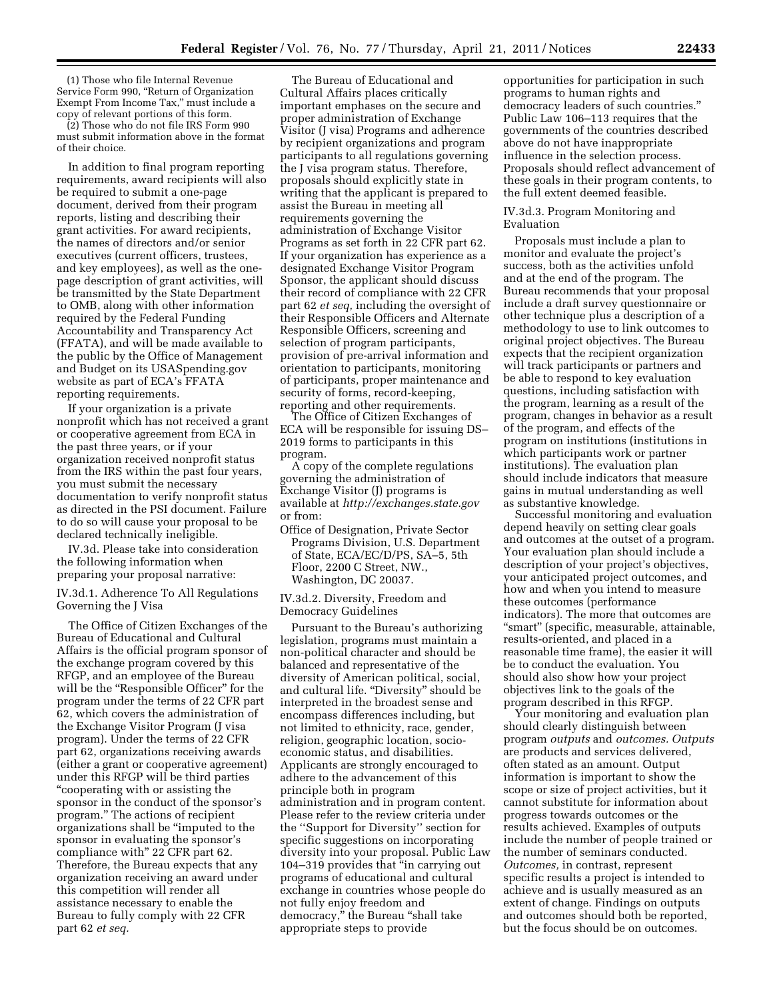(1) Those who file Internal Revenue Service Form 990, "Return of Organization Exempt From Income Tax,'' must include a copy of relevant portions of this form.

(2) Those who do not file IRS Form 990 must submit information above in the format of their choice.

In addition to final program reporting requirements, award recipients will also be required to submit a one-page document, derived from their program reports, listing and describing their grant activities. For award recipients, the names of directors and/or senior executives (current officers, trustees, and key employees), as well as the onepage description of grant activities, will be transmitted by the State Department to OMB, along with other information required by the Federal Funding Accountability and Transparency Act (FFATA), and will be made available to the public by the Office of Management and Budget on its USASpending.gov website as part of ECA's FFATA reporting requirements.

If your organization is a private nonprofit which has not received a grant or cooperative agreement from ECA in the past three years, or if your organization received nonprofit status from the IRS within the past four years, you must submit the necessary documentation to verify nonprofit status as directed in the PSI document. Failure to do so will cause your proposal to be declared technically ineligible.

IV.3d. Please take into consideration the following information when preparing your proposal narrative:

IV.3d.1. Adherence To All Regulations Governing the J Visa

The Office of Citizen Exchanges of the Bureau of Educational and Cultural Affairs is the official program sponsor of the exchange program covered by this RFGP, and an employee of the Bureau will be the "Responsible Officer" for the program under the terms of 22 CFR part 62, which covers the administration of the Exchange Visitor Program (J visa program). Under the terms of 22 CFR part 62, organizations receiving awards (either a grant or cooperative agreement) under this RFGP will be third parties ''cooperating with or assisting the sponsor in the conduct of the sponsor's program.'' The actions of recipient organizations shall be ''imputed to the sponsor in evaluating the sponsor's compliance with'' 22 CFR part 62. Therefore, the Bureau expects that any organization receiving an award under this competition will render all assistance necessary to enable the Bureau to fully comply with 22 CFR part 62 *et seq.* 

The Bureau of Educational and Cultural Affairs places critically important emphases on the secure and proper administration of Exchange Visitor (J visa) Programs and adherence by recipient organizations and program participants to all regulations governing the J visa program status. Therefore, proposals should explicitly state in writing that the applicant is prepared to assist the Bureau in meeting all requirements governing the administration of Exchange Visitor Programs as set forth in 22 CFR part 62. If your organization has experience as a designated Exchange Visitor Program Sponsor, the applicant should discuss their record of compliance with 22 CFR part 62 *et seq,* including the oversight of their Responsible Officers and Alternate Responsible Officers, screening and selection of program participants, provision of pre-arrival information and orientation to participants, monitoring of participants, proper maintenance and security of forms, record-keeping, reporting and other requirements.

The Office of Citizen Exchanges of ECA will be responsible for issuing DS– 2019 forms to participants in this program.

A copy of the complete regulations governing the administration of Exchange Visitor (J) programs is available at *<http://exchanges.state.gov>* or from:

Office of Designation, Private Sector Programs Division, U.S. Department of State, ECA/EC/D/PS, SA–5, 5th Floor, 2200 C Street, NW., Washington, DC 20037.

IV.3d.2. Diversity, Freedom and Democracy Guidelines

Pursuant to the Bureau's authorizing legislation, programs must maintain a non-political character and should be balanced and representative of the diversity of American political, social, and cultural life. ''Diversity'' should be interpreted in the broadest sense and encompass differences including, but not limited to ethnicity, race, gender, religion, geographic location, socioeconomic status, and disabilities. Applicants are strongly encouraged to adhere to the advancement of this principle both in program administration and in program content. Please refer to the review criteria under the ''Support for Diversity'' section for specific suggestions on incorporating diversity into your proposal. Public Law 104–319 provides that ''in carrying out programs of educational and cultural exchange in countries whose people do not fully enjoy freedom and democracy,'' the Bureau ''shall take appropriate steps to provide

opportunities for participation in such programs to human rights and democracy leaders of such countries.'' Public Law 106–113 requires that the governments of the countries described above do not have inappropriate influence in the selection process. Proposals should reflect advancement of these goals in their program contents, to the full extent deemed feasible.

#### IV.3d.3. Program Monitoring and Evaluation

Proposals must include a plan to monitor and evaluate the project's success, both as the activities unfold and at the end of the program. The Bureau recommends that your proposal include a draft survey questionnaire or other technique plus a description of a methodology to use to link outcomes to original project objectives. The Bureau expects that the recipient organization will track participants or partners and be able to respond to key evaluation questions, including satisfaction with the program, learning as a result of the program, changes in behavior as a result of the program, and effects of the program on institutions (institutions in which participants work or partner institutions). The evaluation plan should include indicators that measure gains in mutual understanding as well as substantive knowledge.

Successful monitoring and evaluation depend heavily on setting clear goals and outcomes at the outset of a program. Your evaluation plan should include a description of your project's objectives, your anticipated project outcomes, and how and when you intend to measure these outcomes (performance indicators). The more that outcomes are ''smart'' (specific, measurable, attainable, results-oriented, and placed in a reasonable time frame), the easier it will be to conduct the evaluation. You should also show how your project objectives link to the goals of the program described in this RFGP.

Your monitoring and evaluation plan should clearly distinguish between program *outputs* and *outcomes. Outputs*  are products and services delivered, often stated as an amount. Output information is important to show the scope or size of project activities, but it cannot substitute for information about progress towards outcomes or the results achieved. Examples of outputs include the number of people trained or the number of seminars conducted. *Outcomes,* in contrast, represent specific results a project is intended to achieve and is usually measured as an extent of change. Findings on outputs and outcomes should both be reported, but the focus should be on outcomes.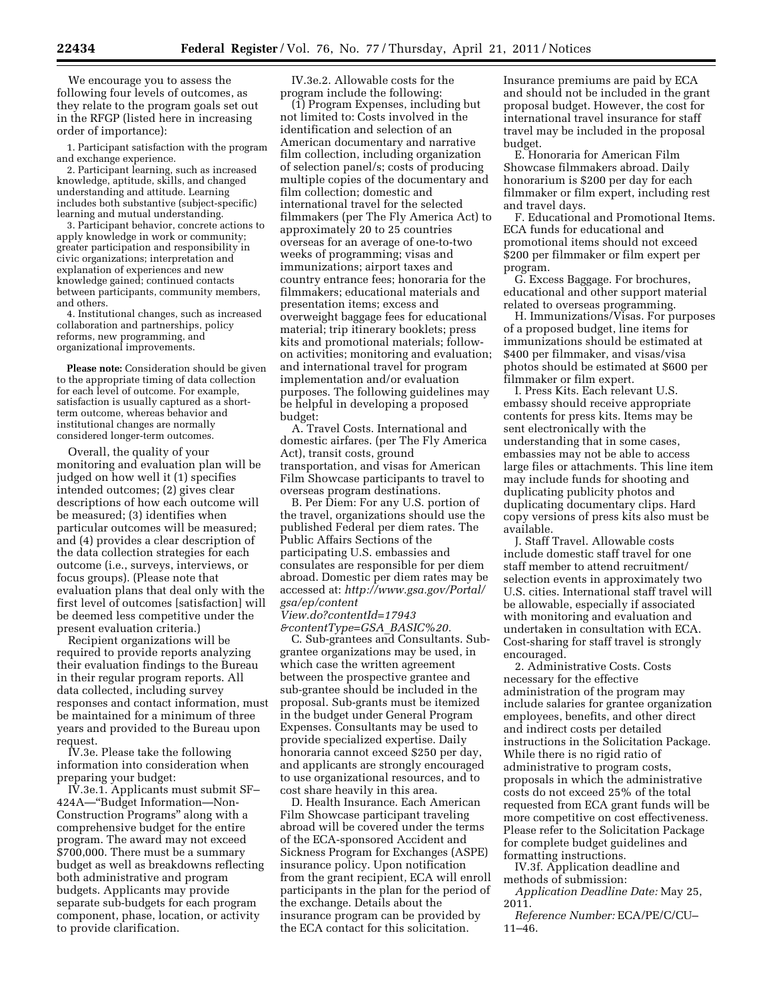We encourage you to assess the following four levels of outcomes, as they relate to the program goals set out in the RFGP (listed here in increasing order of importance):

1. Participant satisfaction with the program and exchange experience.

2. Participant learning, such as increased knowledge, aptitude, skills, and changed understanding and attitude. Learning includes both substantive (subject-specific) learning and mutual understanding.

3. Participant behavior, concrete actions to apply knowledge in work or community; greater participation and responsibility in civic organizations; interpretation and explanation of experiences and new knowledge gained; continued contacts between participants, community members, and others.

4. Institutional changes, such as increased collaboration and partnerships, policy reforms, new programming, and organizational improvements.

**Please note:** Consideration should be given to the appropriate timing of data collection for each level of outcome. For example, satisfaction is usually captured as a shortterm outcome, whereas behavior and institutional changes are normally considered longer-term outcomes.

Overall, the quality of your monitoring and evaluation plan will be judged on how well it (1) specifies intended outcomes; (2) gives clear descriptions of how each outcome will be measured; (3) identifies when particular outcomes will be measured; and (4) provides a clear description of the data collection strategies for each outcome (i.e., surveys, interviews, or focus groups). (Please note that evaluation plans that deal only with the first level of outcomes [satisfaction] will be deemed less competitive under the present evaluation criteria.)

Recipient organizations will be required to provide reports analyzing their evaluation findings to the Bureau in their regular program reports. All data collected, including survey responses and contact information, must be maintained for a minimum of three years and provided to the Bureau upon request.

IV.3e. Please take the following information into consideration when preparing your budget:

IV.3e.1. Applicants must submit SF– 424A—''Budget Information—Non-Construction Programs'' along with a comprehensive budget for the entire program. The award may not exceed \$700,000. There must be a summary budget as well as breakdowns reflecting both administrative and program budgets. Applicants may provide separate sub-budgets for each program component, phase, location, or activity to provide clarification.

IV.3e.2. Allowable costs for the program include the following:

(1) Program Expenses, including but not limited to: Costs involved in the identification and selection of an American documentary and narrative film collection, including organization of selection panel/s; costs of producing multiple copies of the documentary and film collection; domestic and international travel for the selected filmmakers (per The Fly America Act) to approximately 20 to 25 countries overseas for an average of one-to-two weeks of programming; visas and immunizations; airport taxes and country entrance fees; honoraria for the filmmakers; educational materials and presentation items; excess and overweight baggage fees for educational material; trip itinerary booklets; press kits and promotional materials; followon activities; monitoring and evaluation; and international travel for program implementation and/or evaluation purposes. The following guidelines may be helpful in developing a proposed budget:

A. Travel Costs. International and domestic airfares. (per The Fly America Act), transit costs, ground transportation, and visas for American Film Showcase participants to travel to overseas program destinations.

B. Per Diem: For any U.S. portion of the travel, organizations should use the published Federal per diem rates. The Public Affairs Sections of the participating U.S. embassies and consulates are responsible for per diem abroad. Domestic per diem rates may be accessed at: *[http://www.gsa.gov/Portal/](http://www.gsa.gov/Portal/gsa/ep/contentView.do?contentId=17943&contentType=GSA_BASIC%20) [gsa/ep/content](http://www.gsa.gov/Portal/gsa/ep/contentView.do?contentId=17943&contentType=GSA_BASIC%20)*

*[View.do?contentId=17943](http://www.gsa.gov/Portal/gsa/ep/contentView.do?contentId=17943&contentType=GSA_BASIC%20) [&contentType=GSA](http://www.gsa.gov/Portal/gsa/ep/contentView.do?contentId=17943&contentType=GSA_BASIC%20)*\_*BASIC%20.* 

C. Sub-grantees and Consultants. Subgrantee organizations may be used, in which case the written agreement between the prospective grantee and sub-grantee should be included in the proposal. Sub-grants must be itemized in the budget under General Program Expenses. Consultants may be used to provide specialized expertise. Daily honoraria cannot exceed \$250 per day, and applicants are strongly encouraged to use organizational resources, and to cost share heavily in this area.

D. Health Insurance. Each American Film Showcase participant traveling abroad will be covered under the terms of the ECA-sponsored Accident and Sickness Program for Exchanges (ASPE) insurance policy. Upon notification from the grant recipient, ECA will enroll participants in the plan for the period of the exchange. Details about the insurance program can be provided by the ECA contact for this solicitation.

Insurance premiums are paid by ECA and should not be included in the grant proposal budget. However, the cost for international travel insurance for staff travel may be included in the proposal budget.

E. Honoraria for American Film Showcase filmmakers abroad. Daily honorarium is \$200 per day for each filmmaker or film expert, including rest and travel days.

F. Educational and Promotional Items. ECA funds for educational and promotional items should not exceed \$200 per filmmaker or film expert per program.

G. Excess Baggage. For brochures, educational and other support material related to overseas programming.

H. Immunizations/Visas. For purposes of a proposed budget, line items for immunizations should be estimated at \$400 per filmmaker, and visas/visa photos should be estimated at \$600 per filmmaker or film expert.

I. Press Kits. Each relevant U.S. embassy should receive appropriate contents for press kits. Items may be sent electronically with the understanding that in some cases, embassies may not be able to access large files or attachments. This line item may include funds for shooting and duplicating publicity photos and duplicating documentary clips. Hard copy versions of press kits also must be available.

J. Staff Travel. Allowable costs include domestic staff travel for one staff member to attend recruitment/ selection events in approximately two U.S. cities. International staff travel will be allowable, especially if associated with monitoring and evaluation and undertaken in consultation with ECA. Cost-sharing for staff travel is strongly encouraged.

2. Administrative Costs. Costs necessary for the effective administration of the program may include salaries for grantee organization employees, benefits, and other direct and indirect costs per detailed instructions in the Solicitation Package. While there is no rigid ratio of administrative to program costs, proposals in which the administrative costs do not exceed 25% of the total requested from ECA grant funds will be more competitive on cost effectiveness. Please refer to the Solicitation Package for complete budget guidelines and formatting instructions.

IV.3f. Application deadline and methods of submission:

*Application Deadline Date:* May 25, 2011.

*Reference Number:* ECA/PE/C/CU– 11–46.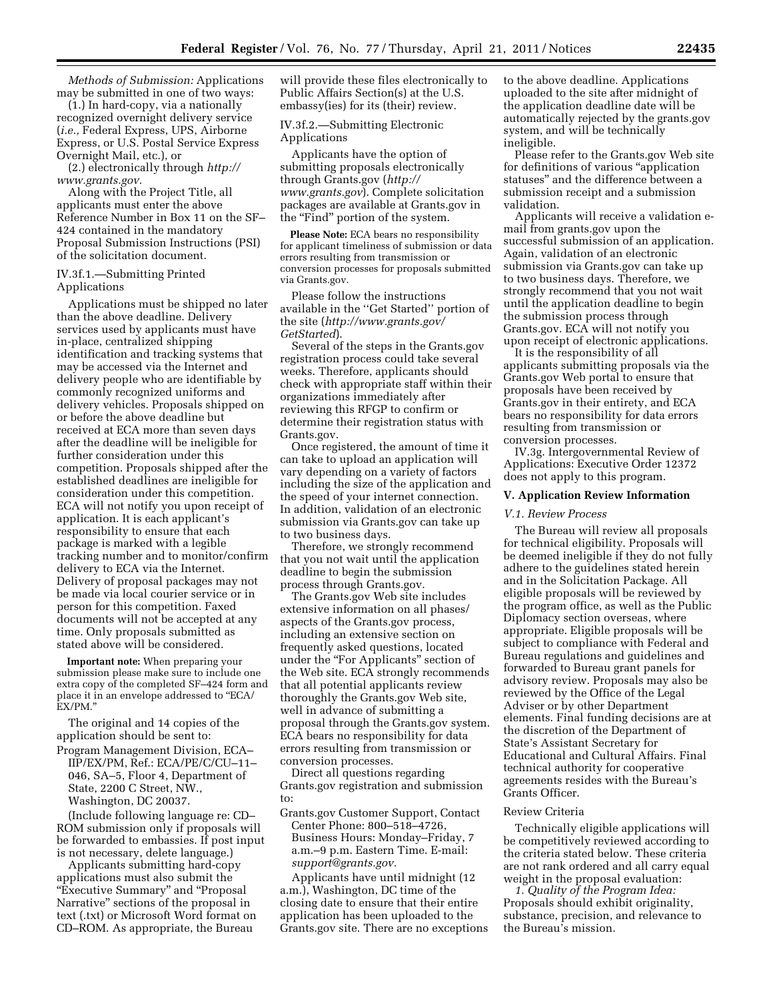*Methods of Submission:* Applications may be submitted in one of two ways:

(1.) In hard-copy, via a nationally recognized overnight delivery service (*i.e.,* Federal Express, UPS, Airborne Express, or U.S. Postal Service Express Overnight Mail, etc.), or

(2.) electronically through *[http://](http://www.grants.gov) [www.grants.gov.](http://www.grants.gov)* 

Along with the Project Title, all applicants must enter the above Reference Number in Box 11 on the SF– 424 contained in the mandatory Proposal Submission Instructions (PSI) of the solicitation document.

#### IV.3f.1.—Submitting Printed Applications

Applications must be shipped no later than the above deadline. Delivery services used by applicants must have in-place, centralized shipping identification and tracking systems that may be accessed via the Internet and delivery people who are identifiable by commonly recognized uniforms and delivery vehicles. Proposals shipped on or before the above deadline but received at ECA more than seven days after the deadline will be ineligible for further consideration under this competition. Proposals shipped after the established deadlines are ineligible for consideration under this competition. ECA will not notify you upon receipt of application. It is each applicant's responsibility to ensure that each package is marked with a legible tracking number and to monitor/confirm delivery to ECA via the Internet. Delivery of proposal packages may not be made via local courier service or in person for this competition. Faxed documents will not be accepted at any time. Only proposals submitted as stated above will be considered.

**Important note:** When preparing your submission please make sure to include one extra copy of the completed SF–424 form and place it in an envelope addressed to ''ECA/ EX/PM.''

The original and 14 copies of the application should be sent to:

Program Management Division, ECA– IIP/EX/PM, Ref.: ECA/PE/C/CU–11– 046, SA–5, Floor 4, Department of State, 2200 C Street, NW., Washington, DC 20037.

(Include following language re: CD– ROM submission only if proposals will be forwarded to embassies. If post input is not necessary, delete language.)

Applicants submitting hard-copy applications must also submit the "Executive Summary" and "Proposal Narrative'' sections of the proposal in text (.txt) or Microsoft Word format on CD–ROM. As appropriate, the Bureau

will provide these files electronically to Public Affairs Section(s) at the U.S. embassy(ies) for its (their) review.

IV.3f.2.—Submitting Electronic Applications

Applicants have the option of submitting proposals electronically through Grants.gov (*[http://](http://www.grants.gov)  [www.grants.gov](http://www.grants.gov)*). Complete solicitation packages are available at Grants.gov in the "Find" portion of the system.

**Please Note:** ECA bears no responsibility for applicant timeliness of submission or data errors resulting from transmission or conversion processes for proposals submitted via Grants.gov.

Please follow the instructions available in the ''Get Started'' portion of the site (*[http://www.grants.gov/](http://www.grants.gov/GetStarted)  [GetStarted](http://www.grants.gov/GetStarted)*).

Several of the steps in the Grants.gov registration process could take several weeks. Therefore, applicants should check with appropriate staff within their organizations immediately after reviewing this RFGP to confirm or determine their registration status with Grants.gov.

Once registered, the amount of time it can take to upload an application will vary depending on a variety of factors including the size of the application and the speed of your internet connection. In addition, validation of an electronic submission via Grants.gov can take up to two business days.

Therefore, we strongly recommend that you not wait until the application deadline to begin the submission process through Grants.gov.

The Grants.gov Web site includes extensive information on all phases/ aspects of the Grants.gov process, including an extensive section on frequently asked questions, located under the "For Applicants" section of the Web site. ECA strongly recommends that all potential applicants review thoroughly the Grants.gov Web site, well in advance of submitting a proposal through the Grants.gov system. ECA bears no responsibility for data errors resulting from transmission or conversion processes.

Direct all questions regarding Grants.gov registration and submission to:

Grants.gov Customer Support, Contact

Center Phone: 800–518–4726, Business Hours: Monday–Friday, 7 a.m.–9 p.m. Eastern Time. E-mail: *[support@grants.gov.](mailto:support@grants.gov)* 

Applicants have until midnight (12 a.m.), Washington, DC time of the closing date to ensure that their entire application has been uploaded to the Grants.gov site. There are no exceptions to the above deadline. Applications uploaded to the site after midnight of the application deadline date will be automatically rejected by the grants.gov system, and will be technically ineligible.

Please refer to the Grants.gov Web site for definitions of various ''application statuses'' and the difference between a submission receipt and a submission validation.

Applicants will receive a validation email from grants.gov upon the successful submission of an application. Again, validation of an electronic submission via Grants.gov can take up to two business days. Therefore, we strongly recommend that you not wait until the application deadline to begin the submission process through Grants.gov. ECA will not notify you upon receipt of electronic applications.

It is the responsibility of all applicants submitting proposals via the Grants.gov Web portal to ensure that proposals have been received by Grants.gov in their entirety, and ECA bears no responsibility for data errors resulting from transmission or conversion processes.

IV.3g. Intergovernmental Review of Applications: Executive Order 12372 does not apply to this program.

## **V. Application Review Information**

#### *V.1. Review Process*

The Bureau will review all proposals for technical eligibility. Proposals will be deemed ineligible if they do not fully adhere to the guidelines stated herein and in the Solicitation Package. All eligible proposals will be reviewed by the program office, as well as the Public Diplomacy section overseas, where appropriate. Eligible proposals will be subject to compliance with Federal and Bureau regulations and guidelines and forwarded to Bureau grant panels for advisory review. Proposals may also be reviewed by the Office of the Legal Adviser or by other Department elements. Final funding decisions are at the discretion of the Department of State's Assistant Secretary for Educational and Cultural Affairs. Final technical authority for cooperative agreements resides with the Bureau's Grants Officer.

### Review Criteria

Technically eligible applications will be competitively reviewed according to the criteria stated below. These criteria are not rank ordered and all carry equal weight in the proposal evaluation:

*1. Quality of the Program Idea:*  Proposals should exhibit originality, substance, precision, and relevance to the Bureau's mission.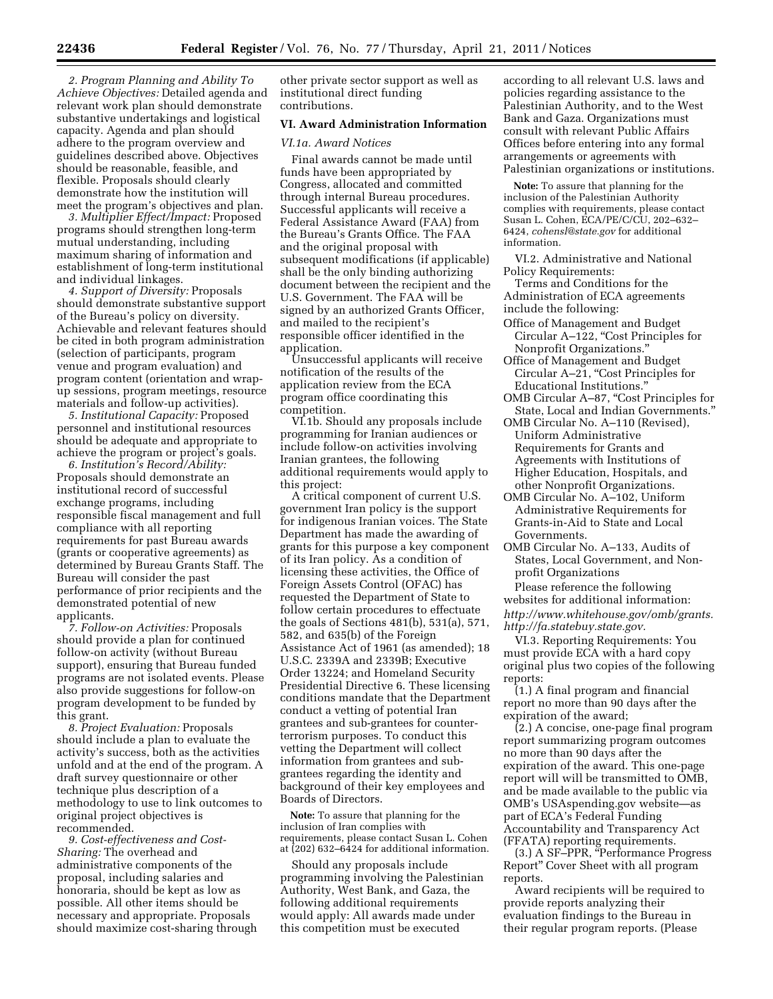*2. Program Planning and Ability To Achieve Objectives:* Detailed agenda and relevant work plan should demonstrate substantive undertakings and logistical capacity. Agenda and plan should adhere to the program overview and guidelines described above. Objectives should be reasonable, feasible, and flexible. Proposals should clearly demonstrate how the institution will meet the program's objectives and plan.

*3. Multiplier Effect/Impact:* Proposed programs should strengthen long-term mutual understanding, including maximum sharing of information and establishment of long-term institutional and individual linkages.

*4. Support of Diversity:* Proposals should demonstrate substantive support of the Bureau's policy on diversity. Achievable and relevant features should be cited in both program administration (selection of participants, program venue and program evaluation) and program content (orientation and wrapup sessions, program meetings, resource materials and follow-up activities).

*5. Institutional Capacity:* Proposed personnel and institutional resources should be adequate and appropriate to achieve the program or project's goals.

*6. Institution's Record/Ability:*  Proposals should demonstrate an institutional record of successful exchange programs, including responsible fiscal management and full compliance with all reporting requirements for past Bureau awards (grants or cooperative agreements) as determined by Bureau Grants Staff. The Bureau will consider the past performance of prior recipients and the demonstrated potential of new applicants.

*7. Follow-on Activities:* Proposals should provide a plan for continued follow-on activity (without Bureau support), ensuring that Bureau funded programs are not isolated events. Please also provide suggestions for follow-on program development to be funded by this grant.

*8. Project Evaluation:* Proposals should include a plan to evaluate the activity's success, both as the activities unfold and at the end of the program. A draft survey questionnaire or other technique plus description of a methodology to use to link outcomes to original project objectives is recommended.

*9. Cost-effectiveness and Cost-Sharing:* The overhead and administrative components of the proposal, including salaries and honoraria, should be kept as low as possible. All other items should be necessary and appropriate. Proposals should maximize cost-sharing through

other private sector support as well as institutional direct funding contributions.

## **VI. Award Administration Information**

### *VI.1a. Award Notices*

Final awards cannot be made until funds have been appropriated by Congress, allocated and committed through internal Bureau procedures. Successful applicants will receive a Federal Assistance Award (FAA) from the Bureau's Grants Office. The FAA and the original proposal with subsequent modifications (if applicable) shall be the only binding authorizing document between the recipient and the U.S. Government. The FAA will be signed by an authorized Grants Officer, and mailed to the recipient's responsible officer identified in the application.

Unsuccessful applicants will receive notification of the results of the application review from the ECA program office coordinating this competition.

VI.1b. Should any proposals include programming for Iranian audiences or include follow-on activities involving Iranian grantees, the following additional requirements would apply to this project:

A critical component of current U.S. government Iran policy is the support for indigenous Iranian voices. The State Department has made the awarding of grants for this purpose a key component of its Iran policy. As a condition of licensing these activities, the Office of Foreign Assets Control (OFAC) has requested the Department of State to follow certain procedures to effectuate the goals of Sections 481(b), 531(a), 571, 582, and 635(b) of the Foreign Assistance Act of 1961 (as amended); 18 U.S.C. 2339A and 2339B; Executive Order 13224; and Homeland Security Presidential Directive 6. These licensing conditions mandate that the Department conduct a vetting of potential Iran grantees and sub-grantees for counterterrorism purposes. To conduct this vetting the Department will collect information from grantees and subgrantees regarding the identity and background of their key employees and Boards of Directors.

**Note:** To assure that planning for the inclusion of Iran complies with requirements, please contact Susan L. Cohen at (202) 632–6424 for additional information.

Should any proposals include programming involving the Palestinian Authority, West Bank, and Gaza, the following additional requirements would apply: All awards made under this competition must be executed

according to all relevant U.S. laws and policies regarding assistance to the Palestinian Authority, and to the West Bank and Gaza. Organizations must consult with relevant Public Affairs Offices before entering into any formal arrangements or agreements with Palestinian organizations or institutions.

**Note:** To assure that planning for the inclusion of the Palestinian Authority complies with requirements, please contact Susan L. Cohen, ECA/PE/C/CU, 202–632– 6424, *[cohensl@state.gov](mailto:cohensl@state.gov)* for additional information.

VI.2. Administrative and National Policy Requirements:

Terms and Conditions for the Administration of ECA agreements include the following:

- Office of Management and Budget Circular A–122, ''Cost Principles for Nonprofit Organizations.''
- Office of Management and Budget Circular A–21, "Cost Principles for Educational Institutions.''
- OMB Circular A–87, "Cost Principles for State, Local and Indian Governments.''
- OMB Circular No. A–110 (Revised), Uniform Administrative Requirements for Grants and Agreements with Institutions of Higher Education, Hospitals, and other Nonprofit Organizations.
- OMB Circular No. A–102, Uniform Administrative Requirements for Grants-in-Aid to State and Local Governments.
- OMB Circular No. A–133, Audits of States, Local Government, and Nonprofit Organizations

Please reference the following websites for additional information: *[http://www.whitehouse.gov/omb/grants.](http://www.whitehouse.gov/omb/grants)  [http://fa.statebuy.state.gov.](http://fa.statebuy.state.gov)* 

VI.3. Reporting Requirements: You must provide ECA with a hard copy original plus two copies of the following reports:

(1.) A final program and financial report no more than 90 days after the expiration of the award;

(2.) A concise, one-page final program report summarizing program outcomes no more than 90 days after the expiration of the award. This one-page report will will be transmitted to OMB, and be made available to the public via OMB's USAspending.gov website—as part of ECA's Federal Funding Accountability and Transparency Act (FFATA) reporting requirements.

(3.) A SF–PPR, ''Performance Progress Report'' Cover Sheet with all program reports.

Award recipients will be required to provide reports analyzing their evaluation findings to the Bureau in their regular program reports. (Please